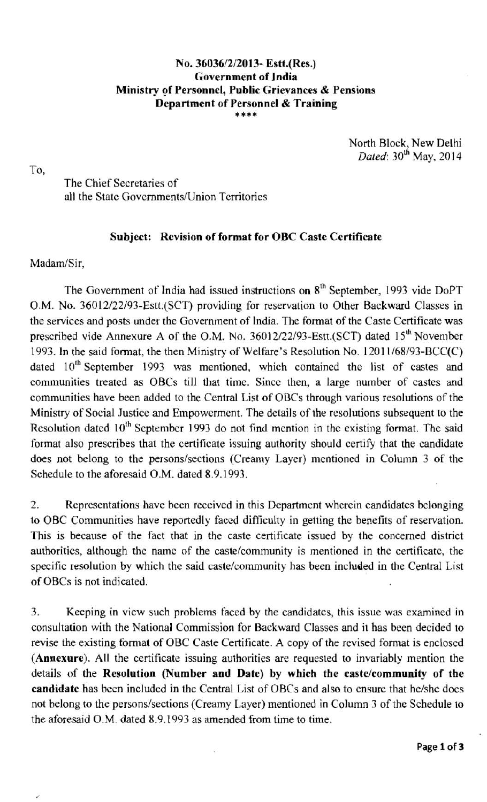## **No.** 36036/2/2013- **Estt.(Res.) Government of India Ministry of Personnel, Public Grievances** & **Pensions Department of Personnel & Training**

North Block, New Delhi *Dated*: 30<sup>th</sup> May, 2014

To,

The Chief Secretaries of all the State Governments/lJnion Territories

## **Subject: Revision of format for OBC Caste Certificate**

Madam/Sir,

The Government of India had issued instructions on 8<sup>th</sup> September, 1993 vide DoPT O.M. No. 36012/22/93-Estt.(SCT) providing for reservation to Other Backward Classes in the services and posts under the Government of India. The format of the Caste Certificate was prescribed vide Annexure A of the O.M. No.  $36012/22/93$ -Estt.(SCT) dated  $15<sup>th</sup>$  November 1993. In the said format, the then Ministry of Welfare's Resolution No. 1201 1/68/93-BCC(C) dated 10<sup>th</sup> September 1993 was mentioned, which contained the list of castes and communities treated as OBCs till that time. Since then, a large number of castes and communities have been added to the Central List of OBCs through various resolutions of the Ministry of Social Justice and Empowerment. The details of the resolutions subsequent to the Resolution dated  $10<sup>th</sup>$  September 1993 do not find mention in the existing format. The said format also prescribes that the certificate issuing authority should certify that the candidate does not belong to the persons/sections (Creamy Layer) mentioned in Column 3 of the Schedule to the aforesaid O.M. dated 8.9.1993.

2. Representations have been received in this Department wherein candidates belonging to OBC Communities have reportedly faced difficulty in getting the benefits of reservation. This is because of the fact that in the caste certificate issued by the concerned district authorities, although the name of the caste/community is mentioned in the certificate, the specific resolution by which the said caste/community has been included in the Central List of OBCs is not indicated.

3. Keeping in view such problems faced by the candidates, this issue was examined in consultation with the National Commission for Backward Classes and it has been decided to revise the existing format of OBC Caste Certificate. A copy of the revised format is enclosed **(Annexure).** All the certificate issuing authorities are requested to invariably mention the details of the **Resolution (Number and Date) by which the caste/community of the**  candidate has been included in the Central List of OBCs and also to ensure that he/she does not belong to the persons/sections (Creamy Layer) mentioned in Column 3 of the Schedule to the aforesaid O.M. dated 8.9.1993 as amended from time to time.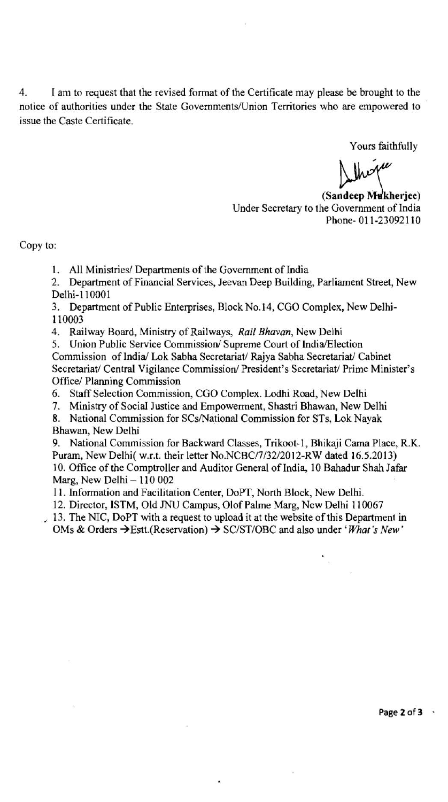4. I am to request that the revised format of the Certificate may please be brought to the notice of authorities under the State Governments/Union Territories who are empowered to issue the Caste Certificate.

Yours faithfully

(Sandeep Mukherjee) Under Secretary to the Government of India Phone- 01 1-230921 10

Copy to:

1. All Ministries/ Departments of the Government of India

2. Department of Financial Services, Jeevan Deep Building, Parliament Street, New Delhi-110001

3. Department of Public Enterprises, Block No.14, CGO Complex, New Delhi-1 10003

4. Railway Board, Ministry of Railways, **Rail** *Bhavan,* New Delhi

5. Union Public Service Commission/ Supreme Court of India/Election Commission of India/ Lok Sabha Secretariat/ Rajya Sabha Secretariat/ Cabinet Secretariat/ Central Vigilance Commission/ President's Secretariat/ Prime Minister's Office/ Planning Commission

6. Staff Selection Commission, CGO Complex. Lodhi Road, New Delhi

7. Ministry of Social Justice and Empowerment, Shastri Bhawan, New Delhi

8. National Commission for SCs/National Commission for STs, Lok Nayak Bhawan, New Delhi

9. National Commission for Backward Classes, Trikoot-I, Bhikaji Cama Place, R.K. Puram, New Delhi( w.r.t. their letter No.NCBC/7/32/2012-RW dated 16.5.2013) 10. Office of the Comptroller and Auditor General of India, 10 Bahadur Shah Jafar Marg, New Delhi - 110 002

I I. Information and Facilitation Center. DoPT, North Block, New Delhi.

12. Director, ISTM, Old JNU Campus, Olof Palme Marg, New Delhi 110067

, 13. The NIC, DoPT with a request to upload it at the website of this Department in OMs & Orders  $\rightarrow$  Estt.(Reservation)  $\rightarrow$  SC/ST/OBC and also under *'What's New'* 

**Page 2 of 3** -